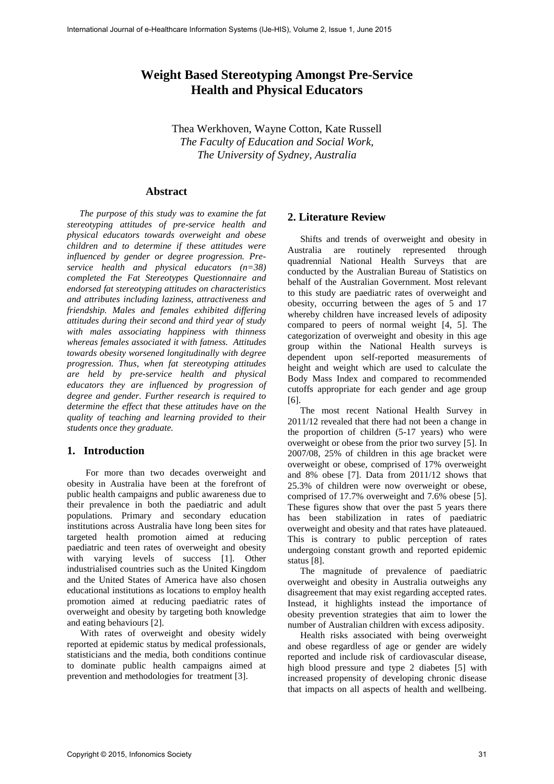# **Weight Based Stereotyping Amongst Pre-Service Health and Physical Educators**

Thea Werkhoven, Wayne Cotton, Kate Russell *The Faculty of Education and Social Work, The University of Sydney, Australia* 

## **Abstract**

*The purpose of this study was to examine the fat stereotyping attitudes of pre-service health and physical educators towards overweight and obese children and to determine if these attitudes were influenced by gender or degree progression. Preservice health and physical educators (n=38) completed the Fat Stereotypes Questionnaire and endorsed fat stereotyping attitudes on characteristics and attributes including laziness, attractiveness and friendship. Males and females exhibited differing attitudes during their second and third year of study with males associating happiness with thinness whereas females associated it with fatness. Attitudes towards obesity worsened longitudinally with degree progression. Thus, when fat stereotyping attitudes are held by pre-service health and physical educators they are influenced by progression of degree and gender. Further research is required to determine the effect that these attitudes have on the quality of teaching and learning provided to their students once they graduate.* 

## **1. Introduction**

 For more than two decades overweight and obesity in Australia have been at the forefront of public health campaigns and public awareness due to their prevalence in both the paediatric and adult populations. Primary and secondary education institutions across Australia have long been sites for targeted health promotion aimed at reducing paediatric and teen rates of overweight and obesity with varying levels of success [1]. Other industrialised countries such as the United Kingdom and the United States of America have also chosen educational institutions as locations to employ health promotion aimed at reducing paediatric rates of overweight and obesity by targeting both knowledge and eating behaviours [2].

With rates of overweight and obesity widely reported at epidemic status by medical professionals, statisticians and the media, both conditions continue to dominate public health campaigns aimed at prevention and methodologies for treatment [3].

#### **2. Literature Review**

Shifts and trends of overweight and obesity in Australia are routinely represented through quadrennial National Health Surveys that are conducted by the Australian Bureau of Statistics on behalf of the Australian Government. Most relevant to this study are paediatric rates of overweight and obesity, occurring between the ages of 5 and 17 whereby children have increased levels of adiposity compared to peers of normal weight [4, 5]. The categorization of overweight and obesity in this age group within the National Health surveys is dependent upon self-reported measurements of height and weight which are used to calculate the Body Mass Index and compared to recommended cutoffs appropriate for each gender and age group [6].

The most recent National Health Survey in 2011/12 revealed that there had not been a change in the proportion of children (5-17 years) who were overweight or obese from the prior two survey [5]. In 2007/08, 25% of children in this age bracket were overweight or obese, comprised of 17% overweight and 8% obese [7]. Data from 2011/12 shows that 25.3% of children were now overweight or obese, comprised of 17.7% overweight and 7.6% obese [5]. These figures show that over the past 5 years there has been stabilization in rates of paediatric overweight and obesity and that rates have plateaued. This is contrary to public perception of rates undergoing constant growth and reported epidemic status [8].

The magnitude of prevalence of paediatric overweight and obesity in Australia outweighs any disagreement that may exist regarding accepted rates. Instead, it highlights instead the importance of obesity prevention strategies that aim to lower the number of Australian children with excess adiposity.

Health risks associated with being overweight and obese regardless of age or gender are widely reported and include risk of cardiovascular disease, high blood pressure and type 2 diabetes [5] with increased propensity of developing chronic disease that impacts on all aspects of health and wellbeing.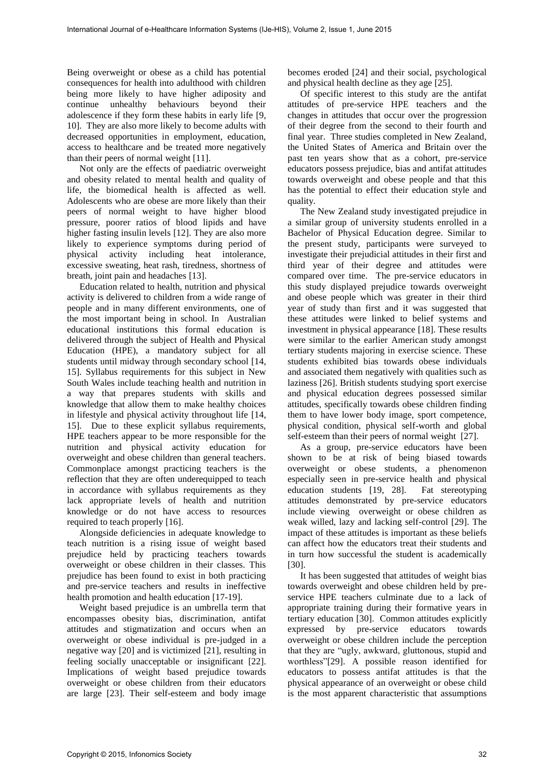Being overweight or obese as a child has potential consequences for health into adulthood with children being more likely to have higher adiposity and continue unhealthy behaviours beyond their adolescence if they form these habits in early life [9, 10]. They are also more likely to become adults with decreased opportunities in employment, education, access to healthcare and be treated more negatively than their peers of normal weight [11].

Not only are the effects of paediatric overweight and obesity related to mental health and quality of life, the biomedical health is affected as well. Adolescents who are obese are more likely than their peers of normal weight to have higher blood pressure, poorer ratios of blood lipids and have higher fasting insulin levels [12]. They are also more likely to experience symptoms during period of physical activity including heat intolerance, excessive sweating, heat rash, tiredness, shortness of breath, joint pain and headaches [13].

Education related to health, nutrition and physical activity is delivered to children from a wide range of people and in many different environments, one of the most important being in school. In Australian educational institutions this formal education is delivered through the subject of Health and Physical Education (HPE), a mandatory subject for all students until midway through secondary school [14, 15]. Syllabus requirements for this subject in New South Wales include teaching health and nutrition in a way that prepares students with skills and knowledge that allow them to make healthy choices in lifestyle and physical activity throughout life [14, 15]. Due to these explicit syllabus requirements, HPE teachers appear to be more responsible for the nutrition and physical activity education for overweight and obese children than general teachers. Commonplace amongst practicing teachers is the reflection that they are often underequipped to teach in accordance with syllabus requirements as they lack appropriate levels of health and nutrition knowledge or do not have access to resources required to teach properly [16].

Alongside deficiencies in adequate knowledge to teach nutrition is a rising issue of weight based prejudice held by practicing teachers towards overweight or obese children in their classes. This prejudice has been found to exist in both practicing and pre-service teachers and results in ineffective health promotion and health education [17-19].

Weight based prejudice is an umbrella term that encompasses obesity bias, discrimination, antifat attitudes and stigmatization and occurs when an overweight or obese individual is pre-judged in a negative way [20] and is victimized [21], resulting in feeling socially unacceptable or insignificant [22]. Implications of weight based prejudice towards overweight or obese children from their educators are large [23]. Their self-esteem and body image becomes eroded [24] and their social, psychological and physical health decline as they age [25].

Of specific interest to this study are the antifat attitudes of pre-service HPE teachers and the changes in attitudes that occur over the progression of their degree from the second to their fourth and final year. Three studies completed in New Zealand, the United States of America and Britain over the past ten years show that as a cohort, pre-service educators possess prejudice, bias and antifat attitudes towards overweight and obese people and that this has the potential to effect their education style and quality.

The New Zealand study investigated prejudice in a similar group of university students enrolled in a Bachelor of Physical Education degree. Similar to the present study, participants were surveyed to investigate their prejudicial attitudes in their first and third year of their degree and attitudes were compared over time. The pre-service educators in this study displayed prejudice towards overweight and obese people which was greater in their third year of study than first and it was suggested that these attitudes were linked to belief systems and investment in physical appearance [18]. These results were similar to the earlier American study amongst tertiary students majoring in exercise science. These students exhibited bias towards obese individuals and associated them negatively with qualities such as laziness [26]. British students studying sport exercise and physical education degrees possessed similar attitudes, specifically towards obese children finding them to have lower body image, sport competence, physical condition, physical self-worth and global self-esteem than their peers of normal weight [27].

As a group, pre-service educators have been shown to be at risk of being biased towards overweight or obese students, a phenomenon especially seen in pre-service health and physical education students [19, 28]. Fat stereotyping attitudes demonstrated by pre-service educators include viewing overweight or obese children as weak willed, lazy and lacking self-control [29]. The impact of these attitudes is important as these beliefs can affect how the educators treat their students and in turn how successful the student is academically [30].

It has been suggested that attitudes of weight bias towards overweight and obese children held by preservice HPE teachers culminate due to a lack of appropriate training during their formative years in tertiary education [30]. Common attitudes explicitly expressed by pre-service educators towards overweight or obese children include the perception that they are "ugly, awkward, gluttonous, stupid and worthless"[29]. A possible reason identified for educators to possess antifat attitudes is that the physical appearance of an overweight or obese child is the most apparent characteristic that assumptions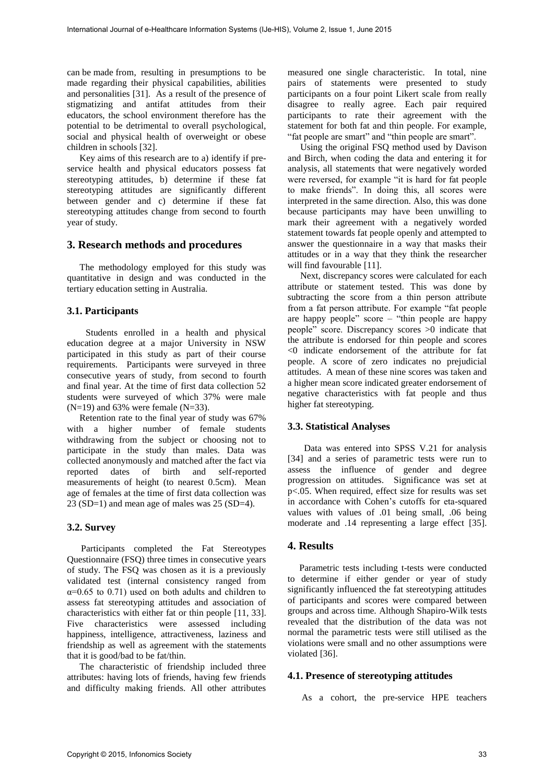can be made from, resulting in presumptions to be made regarding their physical capabilities, abilities and personalities [31]. As a result of the presence of stigmatizing and antifat attitudes from their educators, the school environment therefore has the potential to be detrimental to overall psychological, social and physical health of overweight or obese children in schools [32].

Key aims of this research are to a) identify if preservice health and physical educators possess fat stereotyping attitudes, b) determine if these fat stereotyping attitudes are significantly different between gender and c) determine if these fat stereotyping attitudes change from second to fourth year of study.

#### **3. Research methods and procedures**

The methodology employed for this study was quantitative in design and was conducted in the tertiary education setting in Australia.

### **3.1. Participants**

 Students enrolled in a health and physical education degree at a major University in NSW participated in this study as part of their course requirements. Participants were surveyed in three consecutive years of study, from second to fourth and final year. At the time of first data collection 52 students were surveyed of which 37% were male  $(N=19)$  and 63% were female  $(N=33)$ .

Retention rate to the final year of study was 67% with a higher number of female students withdrawing from the subject or choosing not to participate in the study than males. Data was collected anonymously and matched after the fact via reported dates of birth and self-reported measurements of height (to nearest 0.5cm). Mean age of females at the time of first data collection was 23 (SD=1) and mean age of males was 25 (SD=4).

#### **3.2. Survey**

 Participants completed the Fat Stereotypes Questionnaire (FSQ) three times in consecutive years of study. The FSQ was chosen as it is a previously validated test (internal consistency ranged from  $\alpha$ =0.65 to 0.71) used on both adults and children to assess fat stereotyping attitudes and association of characteristics with either fat or thin people [11, 33]. Five characteristics were assessed including happiness, intelligence, attractiveness, laziness and friendship as well as agreement with the statements that it is good/bad to be fat/thin.

The characteristic of friendship included three attributes: having lots of friends, having few friends and difficulty making friends. All other attributes

measured one single characteristic. In total, nine pairs of statements were presented to study participants on a four point Likert scale from really disagree to really agree. Each pair required participants to rate their agreement with the statement for both fat and thin people. For example, "fat people are smart" and "thin people are smart".

Using the original FSQ method used by Davison and Birch, when coding the data and entering it for analysis, all statements that were negatively worded were reversed, for example "it is hard for fat people to make friends". In doing this, all scores were interpreted in the same direction. Also, this was done because participants may have been unwilling to mark their agreement with a negatively worded statement towards fat people openly and attempted to answer the questionnaire in a way that masks their attitudes or in a way that they think the researcher will find favourable [11].

Next, discrepancy scores were calculated for each attribute or statement tested. This was done by subtracting the score from a thin person attribute from a fat person attribute. For example "fat people are happy people" score – "thin people are happy people" score. Discrepancy scores >0 indicate that the attribute is endorsed for thin people and scores <0 indicate endorsement of the attribute for fat people. A score of zero indicates no prejudicial attitudes. A mean of these nine scores was taken and a higher mean score indicated greater endorsement of negative characteristics with fat people and thus higher fat stereotyping.

#### **3.3. Statistical Analyses**

 Data was entered into SPSS V.21 for analysis [34] and a series of parametric tests were run to assess the influence of gender and degree progression on attitudes. Significance was set at p<.05. When required, effect size for results was set in accordance with Cohen's cutoffs for eta-squared values with values of .01 being small, .06 being moderate and .14 representing a large effect [35].

### **4. Results**

 Parametric tests including t-tests were conducted to determine if either gender or year of study significantly influenced the fat stereotyping attitudes of participants and scores were compared between groups and across time. Although Shapiro-Wilk tests revealed that the distribution of the data was not normal the parametric tests were still utilised as the violations were small and no other assumptions were violated [36].

#### **4.1. Presence of stereotyping attitudes**

As a cohort, the pre-service HPE teachers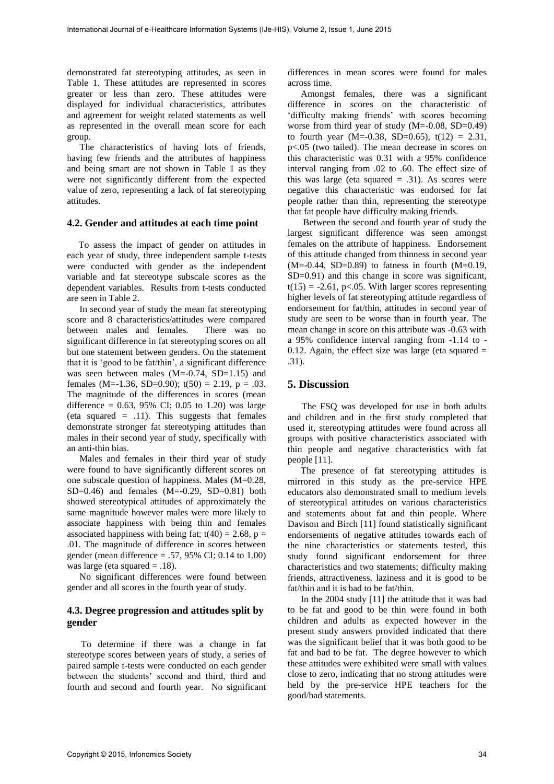demonstrated fat stereotyping attitudes, as seen in Table 1. These attitudes are represented in scores greater or less than zero. These attitudes were displayed for individual characteristics, attributes and agreement for weight related statements as well as represented in the overall mean score for each group.

The characteristics of having lots of friends, having few friends and the attributes of happiness and being smart are not shown in Table 1 as they were not significantly different from the expected value of zero, representing a lack of fat stereotyping attitudes.

#### **4.2. Gender and attitudes at each time point**

 To assess the impact of gender on attitudes in each year of study, three independent sample t-tests were conducted with gender as the independent variable and fat stereotype subscale scores as the dependent variables. Results from t-tests conducted are seen in Table 2.

In second year of study the mean fat stereotyping score and 8 characteristics/attitudes were compared between males and females. There was no significant difference in fat stereotyping scores on all but one statement between genders. On the statement that it is 'good to be fat/thin', a significant difference was seen between males (M=-0.74, SD=1.15) and females (M=-1.36, SD=0.90);  $t(50) = 2.19$ ,  $p = .03$ . The magnitude of the differences in scores (mean difference =  $0.63$ , 95% CI; 0.05 to 1.20) was large (eta squared  $=$  .11). This suggests that females demonstrate stronger fat stereotyping attitudes than males in their second year of study, specifically with an anti-thin bias.

Males and females in their third year of study were found to have significantly different scores on one subscale question of happiness. Males (M=0.28,  $SD=0.46$ ) and females  $(M=-0.29, SD=0.81)$  both showed stereotypical attitudes of approximately the same magnitude however males were more likely to associate happiness with being thin and females associated happiness with being fat;  $t(40) = 2.68$ ,  $p =$ .01. The magnitude of difference in scores between gender (mean difference = .57, 95% CI; 0.14 to 1.00) was large (eta squared  $= .18$ ).

No significant differences were found between gender and all scores in the fourth year of study.

## **4.3. Degree progression and attitudes split by gender**

 To determine if there was a change in fat stereotype scores between years of study, a series of paired sample t-tests were conducted on each gender between the students' second and third, third and fourth and second and fourth year. No significant

differences in mean scores were found for males across time.

Amongst females, there was a significant difference in scores on the characteristic of 'difficulty making friends' with scores becoming worse from third year of study (M=-0.08, SD=0.49) to fourth year (M=-0.38, SD=0.65),  $t(12) = 2.31$ , p<.05 (two tailed). The mean decrease in scores on this characteristic was 0.31 with a 95% confidence interval ranging from .02 to .60. The effect size of this was large (eta squared  $= .31$ ). As scores were negative this characteristic was endorsed for fat people rather than thin, representing the stereotype that fat people have difficulty making friends.

 Between the second and fourth year of study the largest significant difference was seen amongst females on the attribute of happiness. Endorsement of this attitude changed from thinness in second year  $(M=-0.44, SD=0.89)$  to fatness in fourth  $(M=0.19,$ SD=0.91) and this change in score was significant,  $t(15) = -2.61$ , p<.05. With larger scores representing higher levels of fat stereotyping attitude regardless of endorsement for fat/thin, attitudes in second year of study are seen to be worse than in fourth year. The mean change in score on this attribute was -0.63 with a 95% confidence interval ranging from -1.14 to - 0.12. Again, the effect size was large (eta squared  $=$ .31).

## **5. Discussion**

 The FSQ was developed for use in both adults and children and in the first study completed that used it, stereotyping attitudes were found across all groups with positive characteristics associated with thin people and negative characteristics with fat people [11].

The presence of fat stereotyping attitudes is mirrored in this study as the pre-service HPE educators also demonstrated small to medium levels of stereotypical attitudes on various characteristics and statements about fat and thin people. Where Davison and Birch [11] found statistically significant endorsements of negative attitudes towards each of the nine characteristics or statements tested, this study found significant endorsement for three characteristics and two statements; difficulty making friends, attractiveness, laziness and it is good to be fat/thin and it is bad to be fat/thin.

In the 2004 study [11] the attitude that it was bad to be fat and good to be thin were found in both children and adults as expected however in the present study answers provided indicated that there was the significant belief that it was both good to be fat and bad to be fat. The degree however to which these attitudes were exhibited were small with values close to zero, indicating that no strong attitudes were held by the pre-service HPE teachers for the good/bad statements.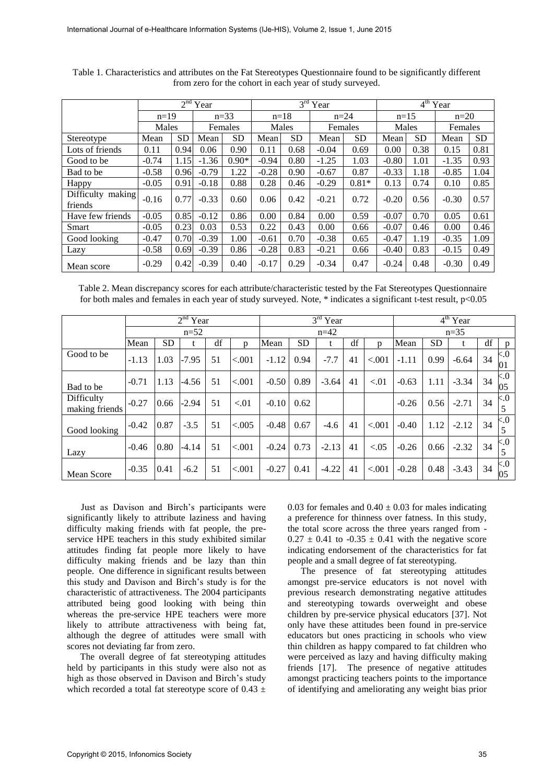|                   |                 |           | $2nd$ Year |           |         |           | $3rd$ Year |           | $4th$ Year |           |         |           |  |
|-------------------|-----------------|-----------|------------|-----------|---------|-----------|------------|-----------|------------|-----------|---------|-----------|--|
|                   | $n=19$<br>Males |           | $n=33$     |           | $n=18$  |           | $n=24$     |           | $n=15$     |           | $n=20$  |           |  |
|                   |                 |           | Females    |           | Males   |           | Females    |           | Males      |           | Females |           |  |
| Stereotype        | Mean            | <b>SD</b> | Mean       | <b>SD</b> | Mean    | <b>SD</b> | Mean       | <b>SD</b> | Mean       | <b>SD</b> | Mean    | <b>SD</b> |  |
| Lots of friends   | 0.11            | 0.94      | 0.06       | 0.90      | 0.11    | 0.68      | $-0.04$    | 0.69      | 0.00       | 0.38      | 0.15    | 0.81      |  |
| Good to be        | $-0.74$         | 1.15      | $-1.36$    | $0.90*$   | $-0.94$ | 0.80      | $-1.25$    | 1.03      | $-0.80$    | 1.01      | $-1.35$ | 0.93      |  |
| Bad to be         | $-0.58$         | 0.96      | $-0.79$    | 1.22      | $-0.28$ | 0.90      | $-0.67$    | 0.87      | $-0.33$    | 1.18      | $-0.85$ | 1.04      |  |
| Happy             | $-0.05$         | 0.91      | $-0.18$    | 0.88      | 0.28    | 0.46      | $-0.29$    | $0.81*$   | 0.13       | 0.74      | 0.10    | 0.85      |  |
| Difficulty making | $-0.16$         | 0.77      | $-0.33$    | 0.60      | 0.06    | 0.42      | $-0.21$    | 0.72      | $-0.20$    | 0.56      | $-0.30$ | 0.57      |  |
| friends           |                 |           |            |           |         |           |            |           |            |           |         |           |  |
| Have few friends  | $-0.05$         | 0.85      | $-0.12$    | 0.86      | 0.00    | 0.84      | 0.00       | 0.59      | $-0.07$    | 0.70      | 0.05    | 0.61      |  |
| Smart             | $-0.05$         | 0.23      | 0.03       | 0.53      | 0.22    | 0.43      | 0.00       | 0.66      | $-0.07$    | 0.46      | 0.00    | 0.46      |  |
| Good looking      | $-0.47$         | 0.70      | $-0.39$    | 1.00      | $-0.61$ | 0.70      | $-0.38$    | 0.65      | $-0.47$    | 1.19      | $-0.35$ | 1.09      |  |
| Lazy              | $-0.58$         | 0.69      | $-0.39$    | 0.86      | $-0.28$ | 0.83      | $-0.21$    | 0.66      | $-0.40$    | 0.83      | $-0.15$ | 0.49      |  |
| Mean score        | $-0.29$         | 0.42      | $-0.39$    | 0.40      | $-0.17$ | 0.29      | $-0.34$    | 0.47      | $-0.24$    | 0.48      | $-0.30$ | 0.49      |  |

Table 1. Characteristics and attributes on the Fat Stereotypes Questionnaire found to be significantly different from zero for the cohort in each year of study surveyed.

Table 2. Mean discrepancy scores for each attribute/characteristic tested by the Fat Stereotypes Questionnaire for both males and females in each year of study surveyed. Note, \* indicates a significant t-test result, p<0.05

|                              |         |           | $2nd$ Year |    | $3rd$ Year   |         |           |         |        | $4th$ Year   |         |      |         |    |              |
|------------------------------|---------|-----------|------------|----|--------------|---------|-----------|---------|--------|--------------|---------|------|---------|----|--------------|
|                              | $n=52$  |           |            |    |              |         |           | $n=42$  | $n=35$ |              |         |      |         |    |              |
|                              | Mean    | <b>SD</b> |            | df | $\mathbf{D}$ | Mean    | <b>SD</b> | t       | df     | $\mathbf{D}$ | Mean    | SD   | t       | df | D            |
| Good to be                   | $-1.13$ | 1.03      | $-7.95$    | 51 | < .001       | $-1.12$ | 0.94      | $-7.7$  | 41     | < 0.001      | $-1.11$ | 0.99 | $-6.64$ | 34 | &5.0<br>101  |
| Bad to be                    | $-0.71$ | 1.13      | $-4.56$    | 51 | < .001       | $-0.50$ | 0.89      | $-3.64$ | 41     | < 01         | $-0.63$ | 1.11 | $-3.34$ | 34 | ${<}0$<br>05 |
| Difficulty<br>making friends | $-0.27$ | 0.66      | $-2.94$    | 51 | < 0.01       | $-0.10$ | 0.62      |         |        |              | $-0.26$ | 0.56 | $-2.71$ | 34 | < 0.5<br>5   |
| Good looking                 | $-0.42$ | 0.87      | $-3.5$     | 51 | < .005       | $-0.48$ | 0.67      | $-4.6$  | 41     | < 0.001      | $-0.40$ | 1.12 | $-2.12$ | 34 | < 0.5<br>5   |
| Lazy                         | $-0.46$ | 0.80      | $-4.14$    | 51 | ${<}.001$    | $-0.24$ | 0.73      | $-2.13$ | 41     | < 0.05       | $-0.26$ | 0.66 | $-2.32$ | 34 | &5.0<br>5    |
| Mean Score                   | $-0.35$ | 0.41      | $-6.2$     | 51 | < .001       | $-0.27$ | 0.41      | $-4.22$ | 41     | < 0.001      | $-0.28$ | 0.48 | $-3.43$ | 34 | &5.0<br>05   |

 Just as Davison and Birch's participants were significantly likely to attribute laziness and having difficulty making friends with fat people, the preservice HPE teachers in this study exhibited similar attitudes finding fat people more likely to have difficulty making friends and be lazy than thin people. One difference in significant results between this study and Davison and Birch's study is for the characteristic of attractiveness. The 2004 participants attributed being good looking with being thin whereas the pre-service HPE teachers were more likely to attribute attractiveness with being fat, although the degree of attitudes were small with scores not deviating far from zero.

The overall degree of fat stereotyping attitudes held by participants in this study were also not as high as those observed in Davison and Birch's study which recorded a total fat stereotype score of  $0.43 \pm$  0.03 for females and  $0.40 \pm 0.03$  for males indicating a preference for thinness over fatness. In this study, the total score across the three years ranged from -  $0.27 \pm 0.41$  to  $-0.35 \pm 0.41$  with the negative score indicating endorsement of the characteristics for fat people and a small degree of fat stereotyping.

The presence of fat stereotyping attitudes amongst pre-service educators is not novel with previous research demonstrating negative attitudes and stereotyping towards overweight and obese children by pre-service physical educators [37]. Not only have these attitudes been found in pre-service educators but ones practicing in schools who view thin children as happy compared to fat children who were perceived as lazy and having difficulty making friends [17]. The presence of negative attitudes amongst practicing teachers points to the importance of identifying and ameliorating any weight bias prior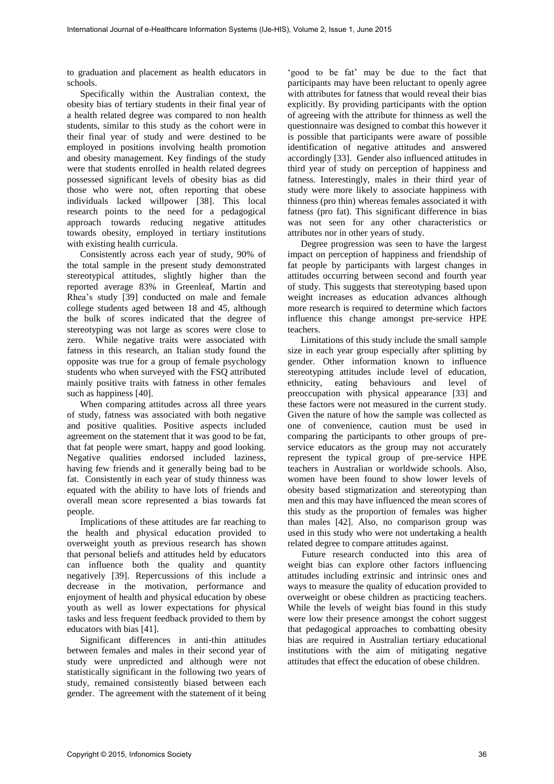to graduation and placement as health educators in schools.

Specifically within the Australian context, the obesity bias of tertiary students in their final year of a health related degree was compared to non health students, similar to this study as the cohort were in their final year of study and were destined to be employed in positions involving health promotion and obesity management. Key findings of the study were that students enrolled in health related degrees possessed significant levels of obesity bias as did those who were not, often reporting that obese individuals lacked willpower [38]. This local research points to the need for a pedagogical approach towards reducing negative attitudes towards obesity, employed in tertiary institutions with existing health curricula.

Consistently across each year of study, 90% of the total sample in the present study demonstrated stereotypical attitudes, slightly higher than the reported average 83% in Greenleaf, Martin and Rhea's study [39] conducted on male and female college students aged between 18 and 45, although the bulk of scores indicated that the degree of stereotyping was not large as scores were close to zero. While negative traits were associated with fatness in this research, an Italian study found the opposite was true for a group of female psychology students who when surveyed with the FSQ attributed mainly positive traits with fatness in other females such as happiness [40].

When comparing attitudes across all three years of study, fatness was associated with both negative and positive qualities. Positive aspects included agreement on the statement that it was good to be fat, that fat people were smart, happy and good looking. Negative qualities endorsed included laziness, having few friends and it generally being bad to be fat. Consistently in each year of study thinness was equated with the ability to have lots of friends and overall mean score represented a bias towards fat people.

Implications of these attitudes are far reaching to the health and physical education provided to overweight youth as previous research has shown that personal beliefs and attitudes held by educators can influence both the quality and quantity negatively [39]. Repercussions of this include a decrease in the motivation, performance and enjoyment of health and physical education by obese youth as well as lower expectations for physical tasks and less frequent feedback provided to them by educators with bias [41].

Significant differences in anti-thin attitudes between females and males in their second year of study were unpredicted and although were not statistically significant in the following two years of study, remained consistently biased between each gender. The agreement with the statement of it being

'good to be fat' may be due to the fact that participants may have been reluctant to openly agree with attributes for fatness that would reveal their bias explicitly. By providing participants with the option of agreeing with the attribute for thinness as well the questionnaire was designed to combat this however it is possible that participants were aware of possible identification of negative attitudes and answered accordingly [33]. Gender also influenced attitudes in third year of study on perception of happiness and fatness. Interestingly, males in their third year of study were more likely to associate happiness with thinness (pro thin) whereas females associated it with fatness (pro fat). This significant difference in bias was not seen for any other characteristics or attributes nor in other years of study.

Degree progression was seen to have the largest impact on perception of happiness and friendship of fat people by participants with largest changes in attitudes occurring between second and fourth year of study. This suggests that stereotyping based upon weight increases as education advances although more research is required to determine which factors influence this change amongst pre-service HPE teachers.

Limitations of this study include the small sample size in each year group especially after splitting by gender. Other information known to influence stereotyping attitudes include level of education, ethnicity, eating behaviours and level of preoccupation with physical appearance [33] and these factors were not measured in the current study. Given the nature of how the sample was collected as one of convenience, caution must be used in comparing the participants to other groups of preservice educators as the group may not accurately represent the typical group of pre-service HPE teachers in Australian or worldwide schools. Also, women have been found to show lower levels of obesity based stigmatization and stereotyping than men and this may have influenced the mean scores of this study as the proportion of females was higher than males [42]. Also, no comparison group was used in this study who were not undertaking a health related degree to compare attitudes against.

 Future research conducted into this area of weight bias can explore other factors influencing attitudes including extrinsic and intrinsic ones and ways to measure the quality of education provided to overweight or obese children as practicing teachers. While the levels of weight bias found in this study were low their presence amongst the cohort suggest that pedagogical approaches to combatting obesity bias are required in Australian tertiary educational institutions with the aim of mitigating negative attitudes that effect the education of obese children.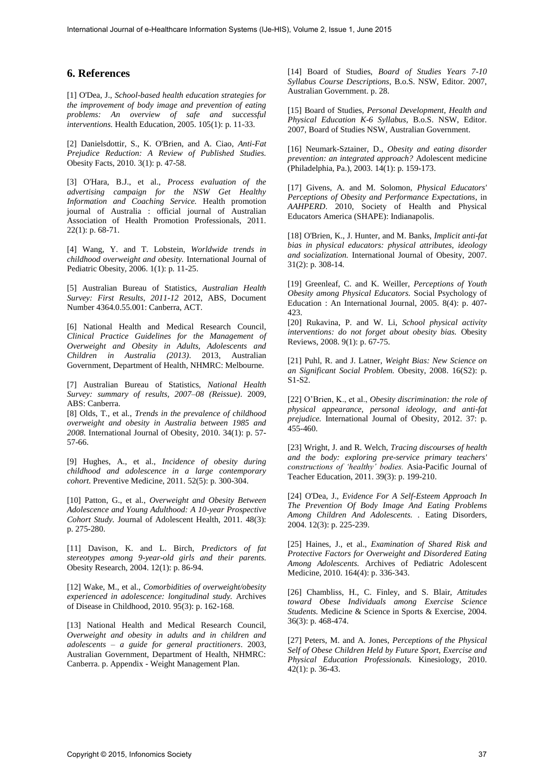## **6. References**

[1] O'Dea, J., *School-based health education strategies for the improvement of body image and prevention of eating problems: An overview of safe and successful interventions.* Health Education, 2005. 105(1): p. 11-33.

[2] Danielsdottir, S., K. O'Brien, and A. Ciao, *Anti-Fat Prejudice Reduction: A Review of Published Studies.* Obesity Facts, 2010. 3(1): p. 47-58.

[3] O'Hara, B.J., et al., *Process evaluation of the advertising campaign for the NSW Get Healthy Information and Coaching Service.* Health promotion journal of Australia : official journal of Australian Association of Health Promotion Professionals, 2011. 22(1): p. 68-71.

[4] Wang, Y. and T. Lobstein, *Worldwide trends in childhood overweight and obesity.* International Journal of Pediatric Obesity, 2006. 1(1): p. 11-25.

[5] Australian Bureau of Statistics, *Australian Health Survey: First Results, 2011-12* 2012, ABS, Document Number 4364.0.55.001: Canberra, ACT.

[6] National Health and Medical Research Council, *Clinical Practice Guidelines for the Management of Overweight and Obesity in Adults, Adolescents and Children in Australia (2013)*. 2013, Australian Government, Department of Health, NHMRC: Melbourne.

[7] Australian Bureau of Statistics, *National Health Survey: summary of results, 2007–08 (Reissue)*. 2009, ABS: Canberra.

[8] Olds, T., et al., *Trends in the prevalence of childhood overweight and obesity in Australia between 1985 and 2008.* International Journal of Obesity, 2010. 34(1): p. 57- 57-66.

[9] Hughes, A., et al., *Incidence of obesity during childhood and adolescence in a large contemporary cohort.* Preventive Medicine, 2011. 52(5): p. 300-304.

[10] Patton, G., et al., *Overweight and Obesity Between Adolescence and Young Adulthood: A 10-year Prospective Cohort Study.* Journal of Adolescent Health, 2011. 48(3): p. 275-280.

[11] Davison, K. and L. Birch, *Predictors of fat stereotypes among 9-year-old girls and their parents.* Obesity Research, 2004. 12(1): p. 86-94.

[12] Wake, M., et al., *Comorbidities of overweight/obesity experienced in adolescence: longitudinal study.* Archives of Disease in Childhood, 2010. 95(3): p. 162-168.

[13] National Health and Medical Research Council, *Overweight and obesity in adults and in children and adolescents – a guide for general practitioners*. 2003, Australian Government, Department of Health, NHMRC: Canberra. p. Appendix - Weight Management Plan.

[14] Board of Studies, *Board of Studies Years 7-10 Syllabus Course Descriptions*, B.o.S. NSW, Editor. 2007, Australian Government. p. 28.

[15] Board of Studies, *Personal Development, Health and Physical Education K-6 Syllabus*, B.o.S. NSW, Editor. 2007, Board of Studies NSW, Australian Government.

[16] Neumark-Sztainer, D., *Obesity and eating disorder prevention: an integrated approach?* Adolescent medicine (Philadelphia, Pa.), 2003. 14(1): p. 159-173.

[17] Givens, A. and M. Solomon, *Physical Educators' Perceptions of Obesity and Performance Expectations*, in *AAHPERD*. 2010, Society of Health and Physical Educators America (SHAPE): Indianapolis.

[18] O'Brien, K., J. Hunter, and M. Banks, *Implicit anti-fat bias in physical educators: physical attributes, ideology and socialization.* International Journal of Obesity, 2007. 31(2): p. 308-14.

[19] Greenleaf, C. and K. Weiller, *Perceptions of Youth Obesity among Physical Educators.* Social Psychology of Education : An International Journal, 2005. 8(4): p. 407- 423.

[20] Rukavina, P. and W. Li, *School physical activity interventions: do not forget about obesity bias.* Obesity Reviews, 2008. 9(1): p. 67-75.

[21] Puhl, R. and J. Latner, *Weight Bias: New Science on an Significant Social Problem.* Obesity, 2008. 16(S2): p. S1-S2.

[22] O'Brien, K., et al., *Obesity discrimination: the role of physical appearance, personal ideology, and anti-fat prejudice.* International Journal of Obesity, 2012. 37: p. 455-460.

[23] Wright, J. and R. Welch, *Tracing discourses of health and the body: exploring pre-service primary teachers' constructions of 'healthy' bodies.* Asia-Pacific Journal of Teacher Education, 2011. 39(3): p. 199-210.

[24] O'Dea, J., *Evidence For A Self-Esteem Approach In The Prevention Of Body Image And Eating Problems Among Children And Adolescents. .* Eating Disorders, 2004. 12(3): p. 225-239.

[25] Haines, J., et al., *Examination of Shared Risk and Protective Factors for Overweight and Disordered Eating Among Adolescents.* Archives of Pediatric Adolescent Medicine, 2010. 164(4): p. 336-343.

[26] Chambliss, H., C. Finley, and S. Blair, *Attitudes toward Obese Individuals among Exercise Science Students.* Medicine & Science in Sports & Exercise, 2004. 36(3): p. 468-474.

[27] Peters, M. and A. Jones, *Perceptions of the Physical Self of Obese Children Held by Future Sport, Exercise and Physical Education Professionals.* Kinesiology, 2010. 42(1): p. 36-43.